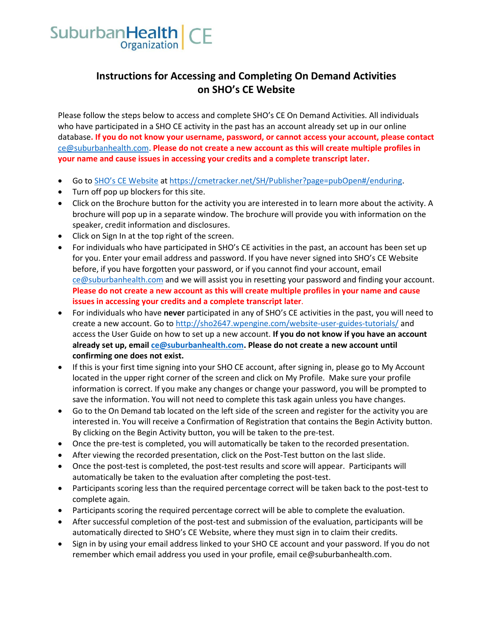

## **Instructions for Accessing and Completing On Demand Activities on SHO's CE Website**

Please follow the steps below to access and complete SHO's CE On Demand Activities. All individuals who have participated in a SHO CE activity in the past has an account already set up in our online database**. If you do not know your username, password, or cannot access your account, please contact** [ce@suburbanhealth.com.](mailto:ce@suburbanhealth.com) **Please do not create a new account as this will create multiple profiles in your name and cause issues in accessing your credits and a complete transcript later.**

- Go to [SHO's CE Website](https://cmetracker.net/SH/Publisher?page=pubOpen#/enduring) a[t https://cmetracker.net/SH/Publisher?page=pubOpen#/enduring.](https://cmetracker.net/SH/Publisher?page=pubOpen#/enduring)
- Turn off pop up blockers for this site.
- Click on the Brochure button for the activity you are interested in to learn more about the activity. A brochure will pop up in a separate window. The brochure will provide you with information on the speaker, credit information and disclosures.
- Click on Sign In at the top right of the screen.
- For individuals who have participated in SHO's CE activities in the past, an account has been set up for you. Enter your email address and password. If you have never signed into SHO's CE Website before, if you have forgotten your password, or if you cannot find your account, email [ce@suburbanhealth.com](mailto:ce@suburbanhealth.com) and we will assist you in resetting your password and finding your account. **Please do not create a new account as this will create multiple profiles in your name and cause issues in accessing your credits and a complete transcript later**.
- For individuals who have **never** participated in any of SHO's CE activities in the past, you will need to create a new account. Go to<http://sho2647.wpengine.com/website-user-guides-tutorials/> and access the User Guide on how to set up a new account. **If you do not know if you have an account already set up, email [ce@suburbanhealth.com.](mailto:ce@suburbanhealth.com) Please do not create a new account until confirming one does not exist.**
- If this is your first time signing into your SHO CE account, after signing in, please go to My Account located in the upper right corner of the screen and click on My Profile. Make sure your profile information is correct. If you make any changes or change your password, you will be prompted to save the information. You will not need to complete this task again unless you have changes.
- Go to the On Demand tab located on the left side of the screen and register for the activity you are interested in. You will receive a Confirmation of Registration that contains the Begin Activity button. By clicking on the Begin Activity button, you will be taken to the pre-test.
- Once the pre-test is completed, you will automatically be taken to the recorded presentation.
- After viewing the recorded presentation, click on the Post-Test button on the last slide.
- Once the post-test is completed, the post-test results and score will appear. Participants will automatically be taken to the evaluation after completing the post-test.
- Participants scoring less than the required percentage correct will be taken back to the post-test to complete again.
- Participants scoring the required percentage correct will be able to complete the evaluation.
- After successful completion of the post-test and submission of the evaluation, participants will be automatically directed to SHO's CE Website, where they must sign in to claim their credits.
- Sign in by using your email address linked to your SHO CE account and your password. If you do not remember which email address you used in your profile, email ce@suburbanhealth.com.